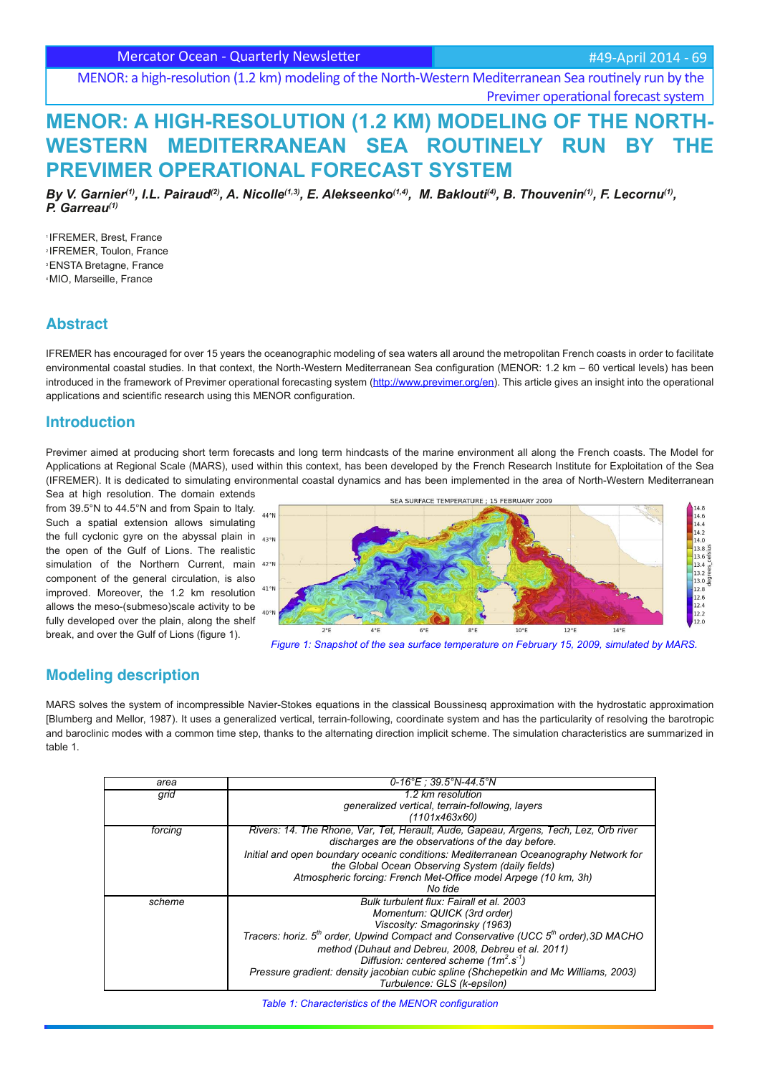Mercator Ocean - Quarterly Newsletter

#49-April 2014 - 69

MENOR: a high-resolution (1.2 km) modeling of the North-Western Mediterranean Sea routinely run by the Previmer operational forecast system

# **MENOR: A HIGH-RESOLUTION (1.2 KM) MODELING OF THE NORTH-**WESTERN MEDITERRANEAN SEA ROUTINELY RUN BY **PREVIMER OPERATIONAL FORECAST SYSTEM**

By V. Garnier<sup>(1)</sup>, I.L. Pairaud<sup>(2)</sup>, A. Nicolle<sup>(1,3)</sup>, E. Alekseenko<sup>(1,4)</sup>, M. Baklouti<sup>(4)</sup>, B. Thouvenin<sup>(1)</sup>, F. Lecornu<sup>(1)</sup>, *P. Garreau(1)*

<sup>1</sup>IFREMER, Brest, France 2 IFREMER, Toulon, France <sup>3</sup>ENSTA Bretagne, France 4 MIO, Marseille, France

### **Abstract**

IFREMER has encouraged for over 15 years the oceanographic modeling of sea waters all around the metropolitan French coasts in order to facilitate environmental coastal studies. In that context, the North-Western Mediterranean Sea configuration (MENOR: 1.2 km - 60 vertical levels) has been introduced in the framework of Previmer operational forecasting system (http://www.previmer.org/en). This article gives an insight into the operational applications and scientific research using this MENOR configuration.

## **Introduction**

Previmer aimed at producing short term forecasts and long term hindcasts of the marine environment all along the French coasts. The Model for Applications at Regional Scale (MARS), used within this context, has been developed by the French Research Institute for Exploitation of the Sea (IFREMER). It is dedicated to simulating environmental coastal dynamics and has been implemented in the area of North-Western Mediterranean

Sea at high resolution. The domain extends from 39.5°N to 44.5°N and from Spain to Italy. Such a spatial extension allows simulating the full cyclonic gyre on the abyssal plain in  $43°n$ the open of the Gulf of Lions. The realistic simulation of the Northern Current, main 42°N component of the general circulation, is also improved. Moreover, the 1.2 km resolution  $41^{\circ}$ M allows the meso-(submeso)scale activity to be fully developed over the plain, along the shelf break, and over the Gulf of Lions (figure 1).



*Figure 1: Snapshot of the sea surface temperature on February 15, 2009, simulated by MARS.*

## **Modeling description**

MARS solves the system of incompressible Navier-Stokes equations in the classical Boussinesq approximation with the hydrostatic approximation [Blumberg and Mellor, 1987). It uses a generalized vertical, terrain-following, coordinate system and has the particularity of resolving the barotropic and baroclinic modes with a common time step, thanks to the alternating direction implicit scheme. The simulation characteristics are summarized in table 1.

| area    | $0-16^{\circ}E: 39.5^{\circ}N-44.5^{\circ}N$                                                                 |
|---------|--------------------------------------------------------------------------------------------------------------|
| grid    | 1.2 km resolution                                                                                            |
|         | generalized vertical, terrain-following, layers                                                              |
|         | (1101x463x60)                                                                                                |
| forcing | Rivers: 14. The Rhone, Var, Tet, Herault, Aude, Gapeau, Argens, Tech, Lez, Orb river                         |
|         | discharges are the observations of the day before.                                                           |
|         | Initial and open boundary oceanic conditions: Mediterranean Oceanography Network for                         |
|         | the Global Ocean Observing System (daily fields)                                                             |
|         | Atmospheric forcing: French Met-Office model Arpege (10 km, 3h)                                              |
|         | No tide                                                                                                      |
| scheme  | Bulk turbulent flux: Fairall et al. 2003                                                                     |
|         | Momentum: QUICK (3rd order)                                                                                  |
|         | Viscosity: Smagorinsky (1963)                                                                                |
|         | Tracers: horiz. 5 <sup>th</sup> order, Upwind Compact and Conservative (UCC 5 <sup>th</sup> order), 3D MACHO |
|         | method (Duhaut and Debreu, 2008, Debreu et al. 2011)                                                         |
|         | Diffusion: centered scheme $(1m^2 s^1)$                                                                      |
|         | Pressure gradient: density jacobian cubic spline (Shchepetkin and Mc Williams, 2003)                         |
|         | Turbulence: GLS (k-epsilon)                                                                                  |

*Table 1: Characteristics of the MENOR configuration*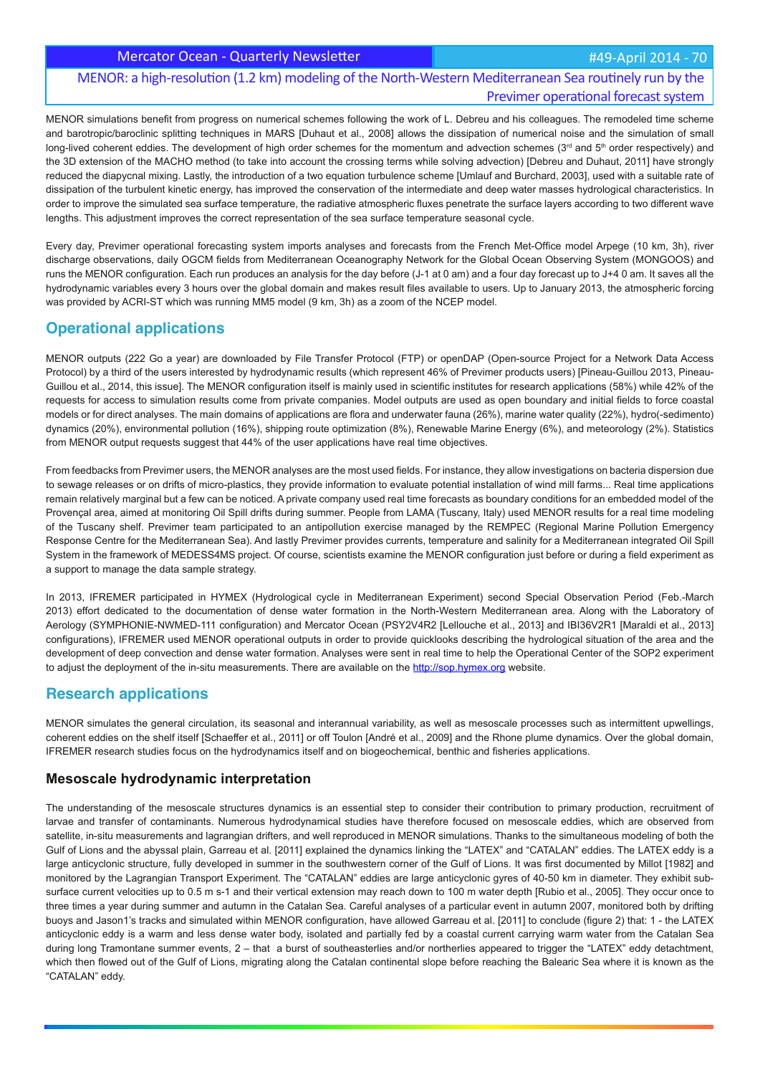Mercator Ocean - Quarterly Newsletter **Access 2014 - 70** Mercator Cean - 70

## MENOR: a high-resolution (1.2 km) modeling of the North-Western Mediterranean Sea routinely run by the Previmer operational forecast system

MENOR simulations benefit from progress on numerical schemes following the work of L. Debreu and his colleagues. The remodeled time scheme and barotropic/baroclinic splitting techniques in MARS [Duhaut et al., 2008] allows the dissipation of numerical noise and the simulation of small long-lived coherent eddies. The development of high order schemes for the momentum and advection schemes ( $3<sup>rd</sup>$  and  $5<sup>th</sup>$  order respectively) and the 3D extension of the MACHO method (to take into account the crossing terms while solving advection) [Debreu and Duhaut, 2011] have strongly reduced the diapycnal mixing. Lastly, the introduction of a two equation turbulence scheme [Umlauf and Burchard, 2003], used with a suitable rate of dissipation of the turbulent kinetic energy, has improved the conservation of the intermediate and deep water masses hydrological characteristics. In order to improve the simulated sea surface temperature, the radiative atmospheric fluxes penetrate the surface layers according to two different wave lengths. This adjustment improves the correct representation of the sea surface temperature seasonal cycle.

Every day, Previmer operational forecasting system imports analyses and forecasts from the French Met-Office model Arpege (10 km, 3h), river discharge observations, daily OGCM fields from Mediterranean Oceanography Network for the Global Ocean Observing System (MONGOOS) and runs the MENOR configuration. Each run produces an analysis for the day before (J-1 at 0 am) and a four day forecast up to J+4 0 am. It saves all the hydrodynamic variables every 3 hours over the global domain and makes result files available to users. Up to January 2013, the atmospheric forcing was provided by ACRI-ST which was running MM5 model (9 km, 3h) as a zoom of the NCEP model.

## **Operational applications**

MENOR outputs (222 Go a year) are downloaded by File Transfer Protocol (FTP) or openDAP (Open-source Project for a Network Data Access Protocol) by a third of the users interested by hydrodynamic results (which represent 46% of Previmer products users) [Pineau-Guillou 2013, Pineau-Guillou et al., 2014, this issue]. The MENOR configuration itself is mainly used in scientific institutes for research applications (58%) while 42% of the requests for access to simulation results come from private companies. Model outputs are used as open boundary and initial fields to force coastal models or for direct analyses. The main domains of applications are flora and underwater fauna (26%), marine water quality (22%), hydro(-sedimento) dynamics (20%), environmental pollution (16%), shipping route optimization (8%), Renewable Marine Energy (6%), and meteorology (2%). Statistics from MENOR output requests suggest that 44% of the user applications have real time objectives.

From feedbacks from Previmer users, the MENOR analyses are the most used fields. For instance, they allow investigations on bacteria dispersion due to sewage releases or on drifts of micro-plastics, they provide information to evaluate potential installation of wind mill farms... Real time applications remain relatively marginal but a few can be noticed. A private company used real time forecasts as boundary conditions for an embedded model of the Provençal area, aimed at monitoring Oil Spill drifts during summer. People from LAMA (Tuscany, Italy) used MENOR results for a real time modeling of the Tuscany shelf. Previmer team participated to an antipollution exercise managed by the REMPEC (Regional Marine Pollution Emergency Response Centre for the Mediterranean Sea). And lastly Previmer provides currents, temperature and salinity for a Mediterranean integrated Oil Spill System in the framework of MEDESS4MS project. Of course, scientists examine the MENOR configuration just before or during a field experiment as a support to manage the data sample strategy.

In 2013, IFREMER participated in HYMEX (Hydrological cycle in Mediterranean Experiment) second Special Observation Period (Feb.-March 2013) effort dedicated to the documentation of dense water formation in the North-Western Mediterranean area. Along with the Laboratory of Aerology (SYMPHONIE-NWMED-111 configuration) and Mercator Ocean (PSY2V4R2 [Lellouche et al., 2013] and IBI36V2R1 [Maraldi et al., 2013] configurations), IFREMER used MENOR operational outputs in order to provide quicklooks describing the hydrological situation of the area and the development of deep convection and dense water formation. Analyses were sent in real time to help the Operational Center of the SOP2 experiment to adjust the deployment of the in-situ measurements. There are available on the http://sop.hymex.org website.

## **Research applications**

MENOR simulates the general circulation, its seasonal and interannual variability, as well as mesoscale processes such as intermittent upwellings, coherent eddies on the shelf itself [Schaeffer et al., 2011] or off Toulon [André et al., 2009] and the Rhone plume dynamics. Over the global domain, IFREMER research studies focus on the hydrodynamics itself and on biogeochemical, benthic and fisheries applications.

### **Mesoscale hydrodynamic interpretation**

The understanding of the mesoscale structures dynamics is an essential step to consider their contribution to primary production, recruitment of larvae and transfer of contaminants. Numerous hydrodynamical studies have therefore focused on mesoscale eddies, which are observed from satellite, in-situ measurements and lagrangian drifters, and well reproduced in MENOR simulations. Thanks to the simultaneous modeling of both the Gulf of Lions and the abyssal plain, Garreau et al. [2011] explained the dynamics linking the "LATEX" and "CATALAN" eddies. The LATEX eddy is a large anticyclonic structure, fully developed in summer in the southwestern corner of the Gulf of Lions. It was first documented by Millot [1982] and monitored by the Lagrangian Transport Experiment. The "CATALAN" eddies are large anticyclonic gyres of 40-50 km in diameter. They exhibit subsurface current velocities up to 0.5 m s-1 and their vertical extension may reach down to 100 m water depth [Rubio et al., 2005]. They occur once to three times a year during summer and autumn in the Catalan Sea. Careful analyses of a particular event in autumn 2007, monitored both by drifting buoys and Jason1's tracks and simulated within MENOR configuration, have allowed Garreau et al. [2011] to conclude (figure 2) that: 1 - the LATEX anticyclonic eddy is a warm and less dense water body, isolated and partially fed by a coastal current carrying warm water from the Catalan Sea during long Tramontane summer events,  $2$  – that a burst of southeasterlies and/or northerlies appeared to trigger the "LATEX" eddy detachtment, which then flowed out of the Gulf of Lions, migrating along the Catalan continental slope before reaching the Balearic Sea where it is known as the "CATALAN" eddy.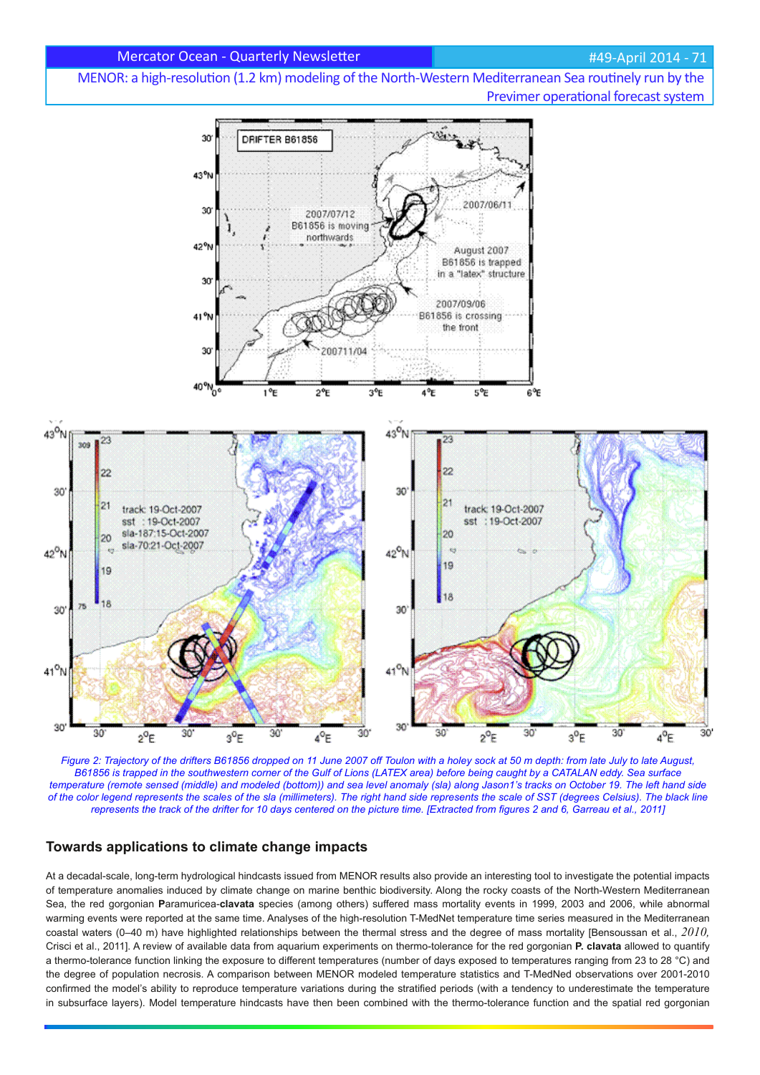MENOR: a high-resolution (1.2 km) modeling of the North-Western Mediterranean Sea routinely run by the Previmer operational forecast system



*Figure 2: Trajectory of the drifters B61856 dropped on 11 June 2007 off Toulon with a holey sock at 50 m depth: from late July to late August, B61856 is trapped in the southwestern corner of the Gulf of Lions (LATEX area) before being caught by a CATALAN eddy. Sea surface temperature (remote sensed (middle) and modeled (bottom)) and sea level anomaly (sla) along Jason1's tracks on October 19. The left hand side of the color legend represents the scales of the sla (millimeters). The right hand side represents the scale of SST (degrees Celsius). The black line represents the track of the drifter for 10 days centered on the picture time. [Extracted from figures 2 and 6, Garreau et al., 2011]* 

### **Towards applications to climate change impacts**

At a decadal-scale, long-term hydrological hindcasts issued from MENOR results also provide an interesting tool to investigate the potential impacts of temperature anomalies induced by climate change on marine benthic biodiversity. Along the rocky coasts of the North-Western Mediterranean Sea, the red gorgonian **P**aramuricea-**clavata** species (among others) suffered mass mortality events in 1999, 2003 and 2006, while abnormal warming events were reported at the same time. Analyses of the high-resolution T-MedNet temperature time series measured in the Mediterranean coastal waters (0–40 m) have highlighted relationships between the thermal stress and the degree of mass mortality [Bensoussan et al., *2010,* Crisci et al., 2011]. A review of available data from aquarium experiments on thermo-tolerance for the red gorgonian **P. clavata** allowed to quantify a thermo-tolerance function linking the exposure to different temperatures (number of days exposed to temperatures ranging from 23 to 28 °C) and the degree of population necrosis. A comparison between MENOR modeled temperature statistics and T-MedNed observations over 2001-2010 confirmed the model's ability to reproduce temperature variations during the stratified periods (with a tendency to underestimate the temperature in subsurface layers). Model temperature hindcasts have then been combined with the thermo-tolerance function and the spatial red gorgonian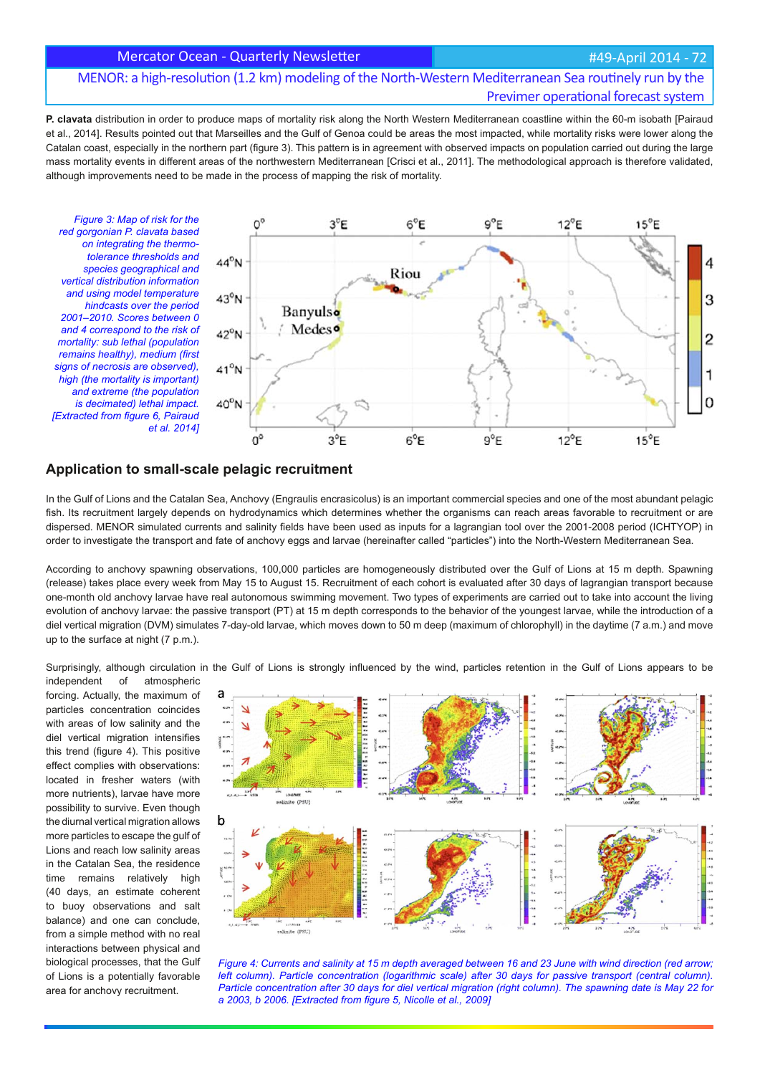#### Mercator Ocean - Quarterly Newsletter **Access 2014 - 12** Mercator Cean - 22 Mercator Ocean - 72

## MENOR: a high-resolution (1.2 km) modeling of the North-Western Mediterranean Sea routinely run by the Previmer operational forecast system

**P. clavata** distribution in order to produce maps of mortality risk along the North Western Mediterranean coastline within the 60-m isobath [Pairaud et al., 2014]. Results pointed out that Marseilles and the Gulf of Genoa could be areas the most impacted, while mortality risks were lower along the Catalan coast, especially in the northern part (figure 3). This pattern is in agreement with observed impacts on population carried out during the large mass mortality events in different areas of the northwestern Mediterranean [Crisci et al., 2011]. The methodological approach is therefore validated, although improvements need to be made in the process of mapping the risk of mortality.

*Figure 3: Map of risk for the red gorgonian P. clavata based on integrating the thermotolerance thresholds and species geographical and vertical distribution information and using model temperature hindcasts over the period 2001–2010. Scores between 0 and 4 correspond to the risk of mortality: sub lethal (population remains healthy), medium (first signs of necrosis are observed), high (the mortality is important) and extreme (the population is decimated) lethal impact. IExtracted from figure 6, Pairaud et al. 2014]*



#### **Application to small-scale pelagic recruitment**

In the Gulf of Lions and the Catalan Sea, Anchovy (Engraulis encrasicolus) is an important commercial species and one of the most abundant pelagic fish. Its recruitment largely depends on hydrodynamics which determines whether the organisms can reach areas favorable to recruitment or are dispersed. MENOR simulated currents and salinity fields have been used as inputs for a lagrangian tool over the 2001-2008 period (ICHTYOP) in order to investigate the transport and fate of anchovy eggs and larvae (hereinafter called "particles") into the North-Western Mediterranean Sea.

According to anchovy spawning observations, 100,000 particles are homogeneously distributed over the Gulf of Lions at 15 m depth. Spawning (release) takes place every week from May 15 to August 15. Recruitment of each cohort is evaluated after 30 days of lagrangian transport because one-month old anchovy larvae have real autonomous swimming movement. Two types of experiments are carried out to take into account the living evolution of anchovy larvae: the passive transport (PT) at 15 m depth corresponds to the behavior of the youngest larvae, while the introduction of a diel vertical migration (DVM) simulates 7-day-old larvae, which moves down to 50 m deep (maximum of chlorophyll) in the daytime (7 a.m.) and move up to the surface at night (7 p.m.).

Surprisingly, although circulation in the Gulf of Lions is strongly influenced by the wind, particles retention in the Gulf of Lions appears to be

independent of atmospheric forcing. Actually, the maximum of particles concentration coincides with areas of low salinity and the diel vertical migration intensifies this trend (figure 4). This positive effect complies with observations: located in fresher waters (with more nutrients), larvae have more possibility to survive. Even though the diurnal vertical migration allows more particles to escape the gulf of Lions and reach low salinity areas in the Catalan Sea, the residence time remains relatively high (40 days, an estimate coherent to buoy observations and salt balance) and one can conclude, from a simple method with no real interactions between physical and biological processes, that the Gulf of Lions is a potentially favorable area for anchovy recruitment.



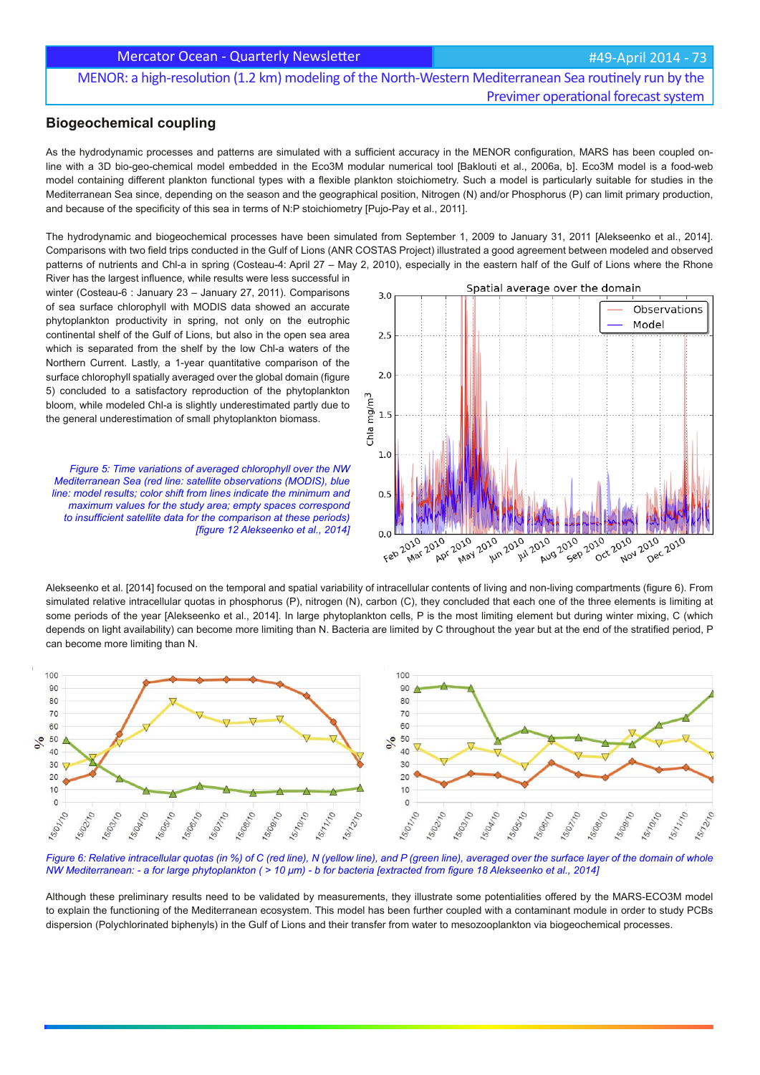MENOR: a high-resolution (1.2 km) modeling of the North-Western Mediterranean Sea routinely run by the Previmer operational forecast system

#### **Biogeochemical coupling**

As the hydrodynamic processes and patterns are simulated with a sufficient accuracy in the MENOR configuration, MARS has been coupled online with a 3D bio-geo-chemical model embedded in the Eco3M modular numerical tool [Baklouti et al., 2006a, b]. Eco3M model is a food-web model containing different plankton functional types with a flexible plankton stoichiometry. Such a model is particularly suitable for studies in the Mediterranean Sea since, depending on the season and the geographical position, Nitrogen (N) and/or Phosphorus (P) can limit primary production, and because of the specificity of this sea in terms of N:P stoichiometry [Pujo-Pay et al., 2011].

The hydrodynamic and biogeochemical processes have been simulated from September 1, 2009 to January 31, 2011 [Alekseenko et al., 2014]. Comparisons with two field trips conducted in the Gulf of Lions (ANR COSTAS Project) illustrated a good agreement between modeled and observed patterns of nutrients and Chl-a in spring (Costeau-4: April 27 – May 2, 2010), especially in the eastern half of the Gulf of Lions where the Rhone

River has the largest influence, while results were less successful in winter (Costeau-6 : January 23 – January 27, 2011). Comparisons of sea surface chlorophyll with MODIS data showed an accurate phytoplankton productivity in spring, not only on the eutrophic continental shelf of the Gulf of Lions, but also in the open sea area which is separated from the shelf by the low Chl-a waters of the Northern Current. Lastly, a 1-year quantitative comparison of the surface chlorophyll spatially averaged over the global domain (figure 5) concluded to a satisfactory reproduction of the phytoplankton bloom, while modeled Chl-a is slightly underestimated partly due to the general underestimation of small phytoplankton biomass.

*Figure 5: Time variations of averaged chlorophyll over the NW Mediterranean Sea (red line: satellite observations (MODIS), blue line: model results; color shift from lines indicate the minimum and maximum values for the study area; empty spaces correspond*  to insufficient satellite data for the comparison at these periods) **figure 12 Alekseenko et al., 2014]** 



Alekseenko et al. [2014] focused on the temporal and spatial variability of intracellular contents of living and non-living compartments (figure 6). From simulated relative intracellular quotas in phosphorus (P), nitrogen (N), carbon (C), they concluded that each one of the three elements is limiting at some periods of the year [Alekseenko et al., 2014]. In large phytoplankton cells, P is the most limiting element but during winter mixing, C (which depends on light availability) can become more limiting than N. Bacteria are limited by C throughout the year but at the end of the stratified period, P can become more limiting than N.



*Figure 6: Relative intracellular quotas (in %) of C (red line), N (yellow line), and P (green line), averaged over the surface layer of the domain of whole NW Mediterranean: - a for large phytoplankton ( > 10 μm) - b for bacteria [extracted from figure 18 Alekseenko et al., 2014]* 

Although these preliminary results need to be validated by measurements, they illustrate some potentialities offered by the MARS-ECO3M model to explain the functioning of the Mediterranean ecosystem. This model has been further coupled with a contaminant module in order to study PCBs dispersion (Polychlorinated biphenyls) in the Gulf of Lions and their transfer from water to mesozooplankton via biogeochemical processes.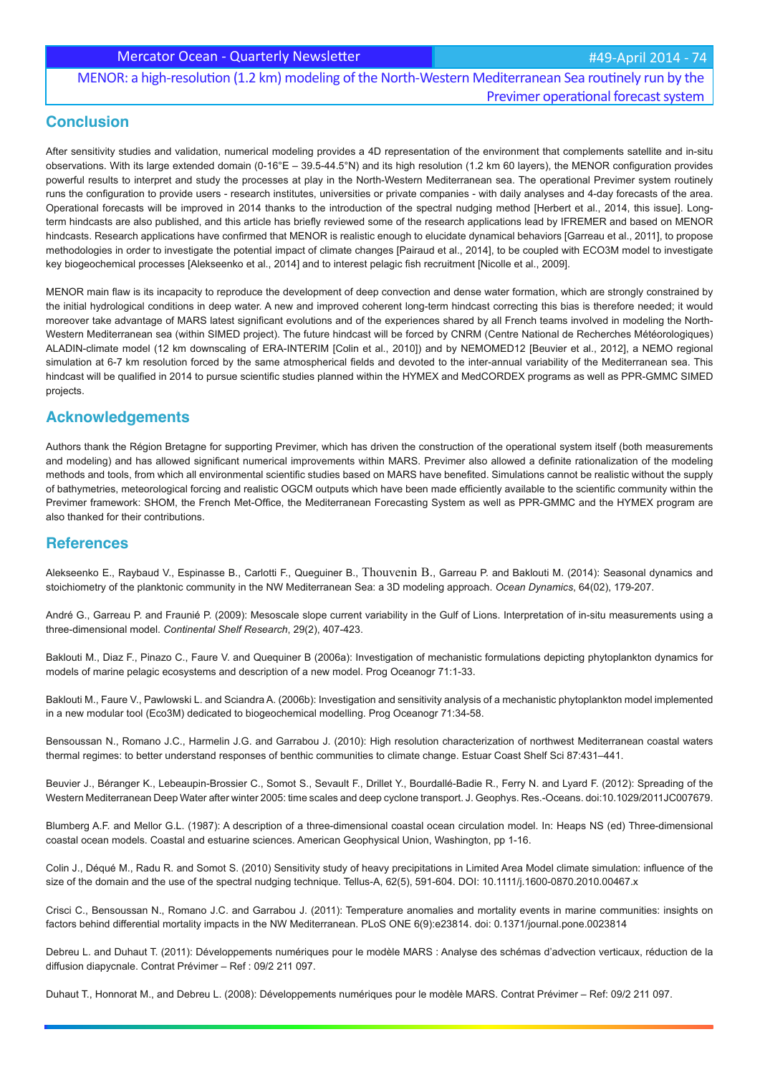## MENOR: a high-resolution (1.2 km) modeling of the North-Western Mediterranean Sea routinely run by the Previmer operational forecast system

## **Conclusion**

After sensitivity studies and validation, numerical modeling provides a 4D representation of the environment that complements satellite and in-situ observations. With its large extended domain (0-16°E – 39.5-44.5°N) and its high resolution (1.2 km 60 layers), the MENOR configuration provides powerful results to interpret and study the processes at play in the North-Western Mediterranean sea. The operational Previmer system routinely runs the configuration to provide users - research institutes, universities or private companies - with daily analyses and 4-day forecasts of the area. Operational forecasts will be improved in 2014 thanks to the introduction of the spectral nudging method [Herbert et al., 2014, this issue]. Longterm hindcasts are also published, and this article has briefly reviewed some of the research applications lead by IFREMER and based on MENOR hindcasts. Research applications have confirmed that MENOR is realistic enough to elucidate dynamical behaviors [Garreau et al., 2011], to propose methodologies in order to investigate the potential impact of climate changes [Pairaud et al., 2014], to be coupled with ECO3M model to investigate key biogeochemical processes [Alekseenko et al., 2014] and to interest pelagic fish recruitment [Nicolle et al., 2009].

MENOR main flaw is its incapacity to reproduce the development of deep convection and dense water formation, which are strongly constrained by the initial hydrological conditions in deep water. A new and improved coherent long-term hindcast correcting this bias is therefore needed; it would moreover take advantage of MARS latest significant evolutions and of the experiences shared by all French teams involved in modeling the North-Western Mediterranean sea (within SIMED project). The future hindcast will be forced by CNRM (Centre National de Recherches Météorologiques) ALADIN-climate model (12 km downscaling of ERA-INTERIM [Colin et al., 2010]) and by NEMOMED12 [Beuvier et al., 2012], a NEMO regional simulation at 6-7 km resolution forced by the same atmospherical fields and devoted to the inter-annual variability of the Mediterranean sea. This hindcast will be qualified in 2014 to pursue scientific studies planned within the HYMEX and MedCORDEX programs as well as PPR-GMMC SIMED projects.

## **Acknowledgements**

Authors thank the Région Bretagne for supporting Previmer, which has driven the construction of the operational system itself (both measurements and modeling) and has allowed significant numerical improvements within MARS. Previmer also allowed a definite rationalization of the modeling methods and tools, from which all environmental scientific studies based on MARS have benefited. Simulations cannot be realistic without the supply of bathymetries, meteorological forcing and realistic OGCM outputs which have been made efficiently available to the scientific community within the Previmer framework: SHOM, the French Met-Office, the Mediterranean Forecasting System as well as PPR-GMMC and the HYMEX program are also thanked for their contributions.

## **References**

Alekseenko E., Raybaud V., Espinasse B., Carlotti F., Queguiner B., Thouvenin B., Garreau P. and Baklouti M. (2014): Seasonal dynamics and stoichiometry of the planktonic community in the NW Mediterranean Sea: a 3D modeling approach. *Ocean Dynamics*, 64(02), 179-207.

André G., Garreau P. and Fraunié P. (2009): Mesoscale slope current variability in the Gulf of Lions. Interpretation of in-situ measurements using a three-dimensional model. *Continental Shelf Research*, 29(2), 407-423.

Baklouti M., Diaz F., Pinazo C., Faure V. and Quequiner B (2006a): Investigation of mechanistic formulations depicting phytoplankton dynamics for models of marine pelagic ecosystems and description of a new model. Prog Oceanogr 71:1-33.

Baklouti M., Faure V., Pawlowski L. and Sciandra A. (2006b): Investigation and sensitivity analysis of a mechanistic phytoplankton model implemented in a new modular tool (Eco3M) dedicated to biogeochemical modelling. Prog Oceanogr 71:34-58.

Bensoussan N., Romano J.C., Harmelin J.G. and Garrabou J. (2010): High resolution characterization of northwest Mediterranean coastal waters thermal regimes: to better understand responses of benthic communities to climate change. Estuar Coast Shelf Sci 87:431–441.

Beuvier J., Béranger K., Lebeaupin-Brossier C., Somot S., Sevault F., Drillet Y., Bourdallé-Badie R., Ferry N. and Lyard F. (2012): Spreading of the Western Mediterranean Deep Water after winter 2005: time scales and deep cyclone transport. J. Geophys. Res.-Oceans. doi:10.1029/2011JC007679.

Blumberg A.F. and Mellor G.L. (1987): A description of a three-dimensional coastal ocean circulation model. In: Heaps NS (ed) Three-dimensional coastal ocean models. Coastal and estuarine sciences. American Geophysical Union, Washington, pp 1-16.

Colin J., Déqué M., Radu R. and Somot S. (2010) Sensitivity study of heavy precipitations in Limited Area Model climate simulation: influence of the size of the domain and the use of the spectral nudging technique. Tellus-A, 62(5), 591-604. DOI: 10.1111/j.1600-0870.2010.00467.x

Crisci C., Bensoussan N., Romano J.C. and Garrabou J. (2011): Temperature anomalies and mortality events in marine communities: insights on factors behind differential mortality impacts in the NW Mediterranean. PLoS ONE 6(9):e23814. doi: 0.1371/journal.pone.0023814

Debreu L. and Duhaut T. (2011): Développements numériques pour le modèle MARS : Analyse des schémas d'advection verticaux, réduction de la diffusion diapycnale. Contrat Prévimer – Ref : 09/2 211 097.

Duhaut T., Honnorat M., and Debreu L. (2008): Développements numériques pour le modèle MARS. Contrat Prévimer – Ref: 09/2 211 097.